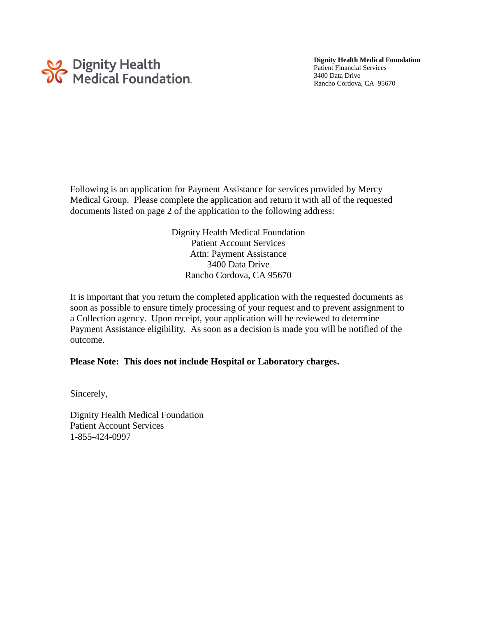

Rancho Cordova, CA 95670

Following is an application for Payment Assistance for services provided by Mercy Medical Group. Please complete the application and return it with all of the requested documents listed on page 2 of the application to the following address:

> Dignity Health Medical Foundation Patient Account Services Attn: Payment Assistance 3400 Data Drive Rancho Cordova, CA 95670

It is important that you return the completed application with the requested documents as soon as possible to ensure timely processing of your request and to prevent assignment to a Collection agency. Upon receipt, your application will be reviewed to determine Payment Assistance eligibility. As soon as a decision is made you will be notified of the outcome.

### **Please Note: This does not include Hospital or Laboratory charges.**

Sincerely,

Dignity Health Medical Foundation Patient Account Services 1-855-424-0997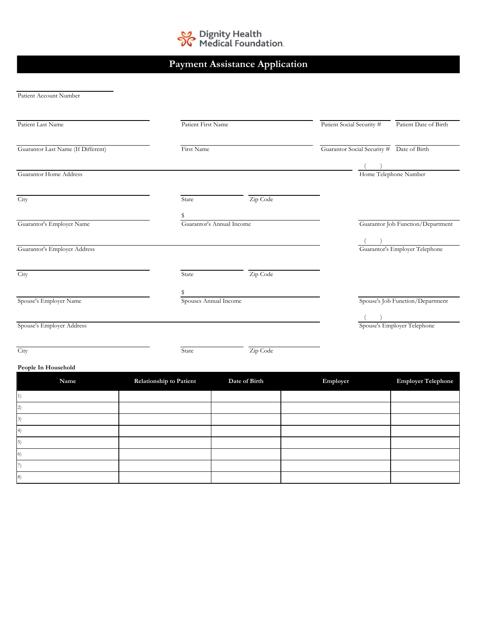

# **Payment Assistance Application**

Patient Account Number

| Patient Last Name                  | Patient First Name         |          | Patient Social Security # | Patient Date of Birth                     |
|------------------------------------|----------------------------|----------|---------------------------|-------------------------------------------|
| Guarantor Last Name (If Different) | First Name                 |          |                           | Guarantor Social Security # Date of Birth |
|                                    |                            |          |                           |                                           |
| Guarantor Home Address             |                            |          |                           | Home Telephone Number                     |
| City                               | State                      | Zip Code |                           |                                           |
| Guarantor's Employer Name          | Guarantor's Annual Income  |          |                           | Guarantor Job Function/Department         |
|                                    |                            |          |                           |                                           |
| Guarantor's Employer Address       |                            |          |                           | Guarantor's Employer Telephone            |
| City                               | State                      | Zip Code |                           |                                           |
| Spouse's Employer Name             | s<br>Spouses Annual Income |          |                           | Spouse's Job Function/Department          |
|                                    |                            |          |                           |                                           |
| Spouse's Employer Address          |                            |          |                           | Spouse's Employer Telephone               |
| City                               | State                      | Zip Code |                           |                                           |

### **People In Household**

| Name | Relationship to Patient | Date of Birth | Employer | <b>Employer Telephone</b> |
|------|-------------------------|---------------|----------|---------------------------|
|      |                         |               |          |                           |
|      |                         |               |          |                           |
|      |                         |               |          |                           |
|      |                         |               |          |                           |
|      |                         |               |          |                           |
|      |                         |               |          |                           |
|      |                         |               |          |                           |
|      |                         |               |          |                           |